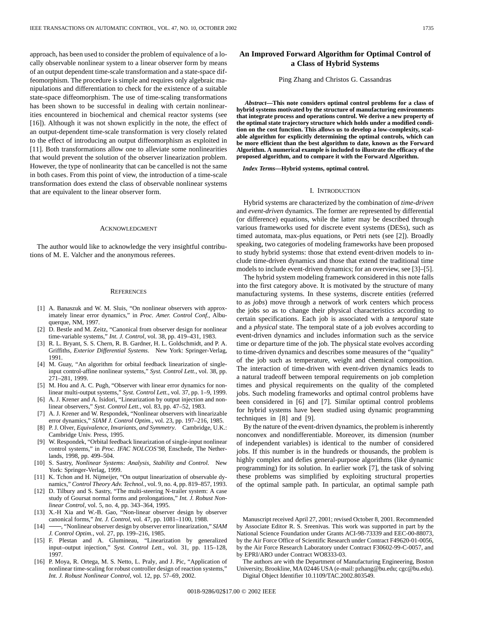approach, has been used to consider the problem of equivalence of a locally observable nonlinear system to a linear observer form by means of an output dependent time-scale transformation and a state-space diffeomorphism. The procedure is simple and requires only algebraic manipulations and differentiation to check for the existence of a suitable state-space diffeomorphism. The use of time-scaling transformations has been shown to be successful in dealing with certain nonlinearities encountered in biochemical and chemical reactor systems (see [16]). Although it was not shown explicitly in the note, the effect of an output-dependent time-scale transformation is very closely related to the effect of introducing an output diffeomorphism as exploited in [11]. Both transformations allow one to alleviate some nonlinearities that would prevent the solution of the observer linearization problem. However, the type of nonlinearity that can be cancelled is not the same in both cases. From this point of view, the introduction of a time-scale transformation does extend the class of observable nonlinear systems that are equivalent to the linear observer form.

#### ACKNOWLEDGMENT

The author would like to acknowledge the very insightful contributions of M. E. Valcher and the anonymous referees.

#### **REFERENCES**

- [1] A. Banaszuk and W. M. Sluis, "On nonlinear observers with approximately linear error dynamics," in *Proc. Amer. Control Conf.*, Albuquerque, NM, 1997.
- [2] D. Bestle and M. Zeitz, "Canonical from observer design for nonlinear time-variable systems," *Int. J. Control*, vol. 38, pp. 419–431, 1983.
- [3] R. L. Bryant, S. S. Chern, R. B. Gardner, H. L. Goldschmidt, and P. A. Griffiths, *Exterior Differential Systems*. New York: Springer-Verlag, 1991.
- [4] M. Guay, "An algorithm for orbital feedback linearization of singleinput control-affine nonlinear systems," *Syst. Control Lett.*, vol. 38, pp. 271–281, 1999.
- [5] M. Hou and A. C. Pugh, "Observer with linear error dynamics for nonlinear multi-output systems," *Syst. Control Lett.*, vol. 37, pp. 1–9, 1999.
- [6] A. J. Krener and A. Isidori, "Linearization by output injection and nonlinear observers," *Syst. Control Lett.*, vol. 83, pp. 47–52, 1983.
- [7] A. J. Krener and W. Respondek, "Nonlinear observers with linearizable error dynamics," *SIAM J. Control Optim.*, vol. 23, pp. 197–216, 1985.
- [8] P. J. Olver, *Equivalence, Invariants, and Symmetry*. Cambridge, U.K.: Cambridge Univ. Press, 1995.
- [9] W. Respondek, "Orbital feedback linearization of single-input nonlinear control systems," in *Proc. IFAC NOLCOS'98*, Enschede, The Netherlands, 1998, pp. 499–504.
- [10] S. Sastry, *Nonlinear Systems: Analysis, Stability and Control*. New York: Springer-Verlag, 1999.
- [11] K. Tchon and H. Nijmeijer, "On output linearization of observable dynamics," *Control Theory Adv. Technol.*, vol. 9, no. 4, pp. 819–857, 1993.
- [12] D. Tilbury and S. Sastry, "The multi-steering N-trailer system: A case study of Goursat normal forms and prolongations," *Int. J. Robust Nonlinear Control*, vol. 5, no. 4, pp. 343–364, 1995.
- [13] X.-H Xia and W.-B. Gao, "Non-linear observer design by observer canonical forms," *Int. J. Control*, vol. 47, pp. 1081–1100, 1988.
- [14] , "Nonlinear observer design by observer error linearization," *SIAM J. Control Optim.*, vol. 27, pp. 199–216, 1985.
- [15] F. Plestan and A. Glumineau, "Linearization by generalized input–output injection," *Syst. Control Lett.*, vol. 31, pp. 115–128, 1997.
- [16] P. Moya, R. Ortega, M. S. Netto, L. Praly, and J. Pic, "Application of nonlinear time-scaling for robust controller design of reaction systems," *Int. J. Robust Nonlinear Control*, vol. 12, pp. 57–69, 2002.

# **An Improved Forward Algorithm for Optimal Control of a Class of Hybrid Systems**

#### Ping Zhang and Christos G. Cassandras

*Abstract—***This note considers optimal control problems for a class of hybrid systems motivated by the structure of manufacturing environments that integrate process and operations control. We derive a new property of the optimal state trajectory structure which holds under a modified condition on the cost function. This allows us to develop a low-complexity, scalable algorithm for explicitly determining the optimal controls, which can be more efficient than the best algorithm to date, known as the Forward Algorithm. A numerical example is included to illustrate the efficacy of the proposed algorithm, and to compare it with the Forward Algorithm.**

*Index Terms—***Hybrid systems, optimal control.**

# I. INTRODUCTION

Hybrid systems are characterized by the combination of *time-driven* and *event-driven* dynamics. The former are represented by differential (or difference) equations, while the latter may be described through various frameworks used for discrete event systems (DESs), such as timed automata, max-plus equations, or Petri nets (see [2]). Broadly speaking, two categories of modeling frameworks have been proposed to study hybrid systems: those that extend event-driven models to include time-driven dynamics and those that extend the traditional time models to include event-driven dynamics; for an overview, see [3]–[5].

The hybrid system modeling framework considered in this note falls into the first category above. It is motivated by the structure of many manufacturing systems. In these systems, discrete entities (referred to as *jobs*) move through a network of work centers which process the jobs so as to change their physical characteristics according to certain specifications. Each job is associated with a *temporal* state and a *physical* state. The temporal state of a job evolves according to event-driven dynamics and includes information such as the service time or departure time of the job. The physical state evolves according to time-driven dynamics and describes some measures of the "quality" of the job such as temperature, weight and chemical composition. The interaction of time-driven with event-driven dynamics leads to a natural tradeoff between temporal requirements on job completion times and physical requirements on the quality of the completed jobs. Such modeling frameworks and optimal control problems have been considered in [6] and [7]. Similar optimal control problems for hybrid systems have been studied using dynamic programming techniques in [8] and [9].

By the nature of the event-driven dynamics, the problem is inherently nonconvex and nondifferentiable. Moreover, its dimension (number of independent variables) is identical to the number of considered jobs. If this number is in the hundreds or thousands, the problem is highly complex and defies general-purpose algorithms (like dynamic programming) for its solution. In earlier work [7], the task of solving these problems was simplified by exploiting structural properties of the optimal sample path. In particular, an optimal sample path

Manuscript received April 27, 2001; revised October 8, 2001. Recommended by Associate Editor R. S. Sreenivas. This work was supported in part by the National Science Foundation under Grants ACI-98-73339 and EEC-00-88073, by the Air Force Office of Scientific Research under Contract F49620-01-0056, by the Air Force Research Laboratory under Contract F30602-99-C-0057, and by EPRI/ARO under Contract WO8333-03.

The authors are with the Department of Manufacturing Engineering, Boston University, Brookline, MA 02446 USA (e-mail: pzhang@bu.edu; cgc@bu.edu). Digital Object Identifier 10.1109/TAC.2002.803549.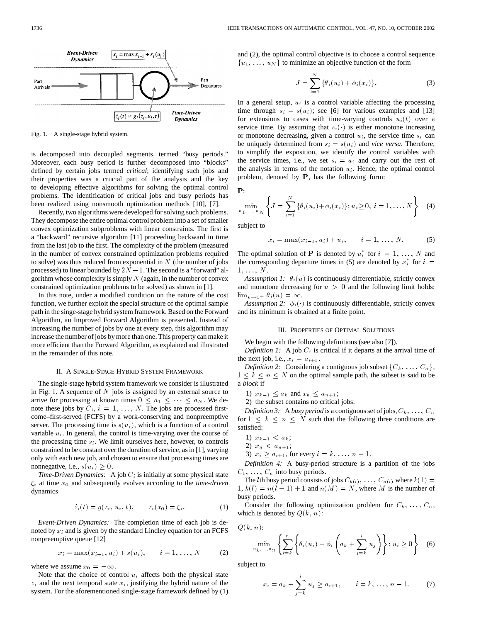

Fig. 1. A single-stage hybrid system.

is decomposed into decoupled segments, termed "busy periods." Moreover, each busy period is further decomposed into "blocks" defined by certain jobs termed *critical*; identifying such jobs and their properties was a crucial part of the analysis and the key to developing effective algorithms for solving the optimal control problems. The identification of critical jobs and busy periods has been realized using nonsmooth optimization methods [10], [7].

Recently, two algorithms were developed for solving such problems. They decompose the entire optimal control problem into a set of smaller convex optimization subproblems with linear constraints. The first is a "backward" recursive algorithm [11] proceeding backward in time from the last job to the first. The complexity of the problem (measured in the number of convex constrained optimization problems required to solve) was thus reduced from exponential in  $N$  (the number of jobs processed) to linear bounded by  $2N - 1$ . The second is a "forward" algorithm whose complexity is simply  $N$  (again, in the number of convex constrained optimization problems to be solved) as shown in [1].

In this note, under a modified condition on the nature of the cost function, we further exploit the special structure of the optimal sample path in the singe-stage hybrid system framework. Based on the Forward Algorithm, an Improved Forward Algorithm is presented. Instead of increasing the number of jobs by one at every step, this algorithm may increase the number of jobs by more than one. This property can make it more efficient than the Forward Algorithm, as explained and illustrated in the remainder of this note.

# II. A SINGLE-STAGE HYBRID SYSTEM FRAMEWORK

The single-stage hybrid system framework we consider is illustrated in Fig. 1. A sequence of  $N$  jobs is assigned by an external source to arrive for processing at known times  $0 \le a_1 \le \cdots \le a_N$ . We denote these jobs by  $C_i$ ,  $i = 1, \ldots, N$ . The jobs are processed firstcome–first-served (FCFS) by a work-conserving and nonpreemptive server. The processing time is  $s(u_i)$ , which is a function of a control variable  $u_i$ . In general, the control is time-varying over the course of the processing time  $s_i$ . We limit ourselves here, however, to controls constrained to be constant over the duration of service, as in [1], varying only with each new job, and chosen to ensure that processing times are nonnegative, i.e.,  $s(u_i) \geq 0$ .

*Time-Driven Dynamics:* A job  $C_i$  is initially at some physical state  $\xi_i$  at time  $x_0$  and subsequently evolves according to the *time-driven* dynamics

$$
z_i(t) = g(z_i, u_i, t), \qquad z_i(x_0) = \xi_i.
$$
 (1)

*Event-Driven Dynamics:* The completion time of each job is denoted by  $x_i$  and is given by the standard Lindley equation for an FCFS nonpreemptive queue [12] ptive queue [12]<br>  $x_i = \max(x_{i-1}, a_i) + s(u_i), \qquad i = 1, ..., N$  (2)

$$
x_i = \max(x_{i-1}, a_i) + s(u_i), \qquad i = 1, ..., N \tag{2}
$$

where we assume  $x_0 = -\infty$ .

Note that the choice of control  $u_i$  affects both the physical state  $z_i$  and the next temporal state  $x_i$ , justifying the hybrid nature of the system. For the aforementioned single-stage framework defined by (1) and (2), the optimal control objective is to choose a control sequence  $\{u_1, \ldots, u_N\}$  to minimize an objective function of the form

$$
J = \sum_{i=1}^{N} {\{\theta_i(u_i) + \phi_i(x_i)\}}.
$$
 (3)

In a general setup,  $u_i$  is a control variable affecting the processing time through  $s_i = s(u_i)$ ; see [6] for various examples and [13] for extensions to cases with time-varying controls  $u_i(t)$  over a service time. By assuming that  $s_i(\cdot)$  is either monotone increasing or monotone decreasing, given a control  $u_i$ , the service time  $s_i$  can be uniquely determined from  $s_i = s(u_i)$  and *vice versa*. Therefore, to simplify the exposition, we identify the control variables with the service times, i.e., we set  $s_i = u_i$  and carry out the rest of the analysis in terms of the notation  $u_i$ . Hence, the optimal control problem, denoted by P, has the following form:

P:

$$
\min_{u_1, ..., u_N} \left\{ J = \sum_{i=1}^N \left\{ \theta_i(u_i) + \phi_i(x_i) \right\} : u_i \ge 0, \ i = 1, ..., N \right\}
$$
 (4)

subject to

$$
x_i = \max(x_{i-1}, a_i) + u_i, \qquad i = 1, ..., N.
$$
 (5)

The optimal solution of **P** is denoted by  $u_i^*$  for  $i = 1, ..., N$  and the corresponding departure times in (5) are denoted by  $x_i^*$  for  $i =$  $1, \ldots, N$ .

*Assumption 1:*  $\theta_i(u)$  is continuously differentiable, strictly convex and monotone decreasing for  $u > 0$  and the following limit holds:  $\lim_{u\to 0^+} \theta_i(u) = \infty.$ 

*Assumption 2:*  $\phi_i(\cdot)$  is continuously differentiable, strictly convex and its minimum is obtained at a finite point.

#### III. PROPERTIES OF OPTIMAL SOLUTIONS

We begin with the following definitions (see also [7]).

*Definition 1:* A job  $C_i$  is critical if it departs at the arrival time of the next job, i.e.,  $x_i = a_{i+1}$ .

*Definition 2:* Considering a contiguous job subset  $\{C_k, \ldots, C_n\}$ ,  $1 \leq k \leq n \leq N$  on the optimal sample path, the subset is said to be a *block* if

1)  $x_{k-1} \leq a_k$  and  $x_n \leq a_{n+1}$ ;

2) the subset contains no critical jobs.

*Definition 3:* A *busy period* is a contiguous set of jobs,  $C_k$ , ...,  $C_n$ for  $1 \leq k \leq n \leq N$  such that the following three conditions are satisfied:

1)  $x_{k-1} < a_k$ ;

2)  $x_n < a_{n+1}$ ;

3)  $x_i \ge a_{i+1}$ , for every  $i = k, ..., n - 1$ .

*Definition 4:* A busy-period structure is a partition of the jobs  $C_1, \ldots, C_n$  into busy periods.

The *l*th busy period consists of jobs  $C_{k(l)}$ , ...,  $C_{n(l)}$  where  $k(1) =$  $1, k(l) = n(l-1) + 1$  and  $n(M) = N$ , where M is the number of busy periods.

Consider the following optimization problem for  $C_k, \ldots, C_n$ , which is denoted by  $Q(k, n)$ :

 $Q(k, n)$ :

$$
\min_{u_k,\dots,u_n} \left\{ \sum_{i=k}^n \left\{ \theta_i(u_i) + \phi_i \left( a_k + \sum_{j=k}^i u_j \right) \right\} : u_i \ge 0 \right\} \quad (6)
$$

subject to

$$
x_i = a_k + \sum_{j=k}^{i} u_j \ge a_{i+1}, \qquad i = k, \dots, n-1.
$$
 (7)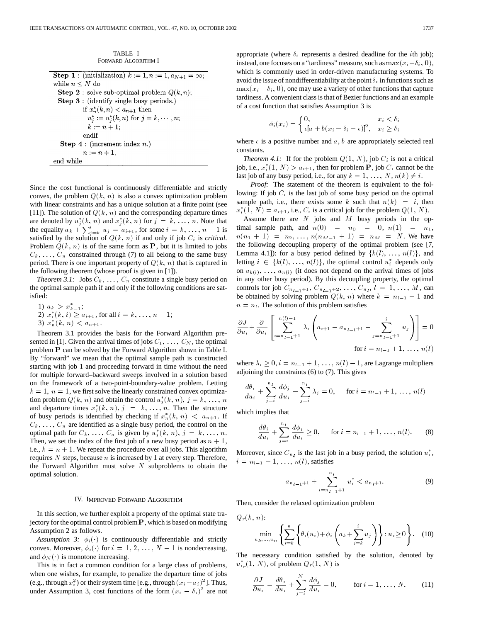TABLE I FORWARD ALGORITHM I

| <b>Step 1</b> : (initialization) $k := 1, n := 1, a_{N+1} = \infty$ ; |
|-----------------------------------------------------------------------|
| while $n \leq N$ do                                                   |
| <b>Step 2</b> : solve sub-optimal problem $Q(k, n)$ ;                 |
| Step 3 : (identify single busy periods.)                              |
| if $x_n^*(k,n) < a_{n+1}$ then                                        |
| $u_j^* := u_j^*(k, n)$ for $j = k, \dots, n;$                         |
| $k := n + 1$ ;                                                        |
| endif                                                                 |
| <b>Step 4</b> : (increment index $n$ .)                               |
| $n := n + 1$ :                                                        |
| end while                                                             |

Since the cost functional is continuously differentiable and strictly convex, the problem  $Q(k, n)$  is also a convex optimization problem with linear constraints and has a unique solution at a finite point (see [11]). The solution of  $Q(k, n)$  and the corresponding departure times are denoted by  $u_j^*(k, n)$  and  $x_j^*(k, n)$  for  $j = k, ..., n$ . Note that the equality  $a_k + \sum_{j=k}^{i} u_j = a_{i+1}$ , for some  $i = k, \ldots, n-1$  is satisfied by the solution of  $Q(k, n)$  if and only if job  $C_i$  is *critical*. Problem  $Q(k, n)$  is of the same form as P, but it is limited to jobs  $C_k, \ldots, C_n$  constrained through (7) to all belong to the same busy period. There is one important property of  $Q(k, n)$  that is captured in the following theorem (whose proof is given in [1]).

*Theorem 3.1:* Jobs  $C_k$ , ...,  $C_n$  constitute a single busy period on the optimal sample path if and only if the following conditions are satisfied:

1) 
$$
a_k > x_{k-1}^*
$$
;  
\n2)  $x_i^*(k, i) \ge a_{i+1}$ , for all  $i = k, ..., n-1$ ;  
\n3)  $x_n^*(k, n) < a_{n+1}$ .

Theorem 3.1 provides the basis for the Forward Algorithm presented in [1]. Given the arrival times of jobs  $C_1, \ldots, C_N$ , the optimal problem P can be solved by the Forward Algorithm shown in Table I. By "forward" we mean that the optimal sample path is constructed starting with job 1 and proceeding forward in time without the need for multiple forward–backward sweeps involved in a solution based on the framework of a two-point-boundary-value problem. Letting  $k = 1$ ,  $n = 1$ , we first solve the linearly constrained convex optimization problem  $Q(k, n)$  and obtain the control  $u_j^*(k, n)$ ,  $j = k, \ldots, n$ and departure times  $x_j^*(k, n), j = k, ..., n$ . Then the structure of busy periods is identified by checking if  $x_n^*(k, n) < a_{n+1}$ . If  $C_k$ , ...,  $C_n$  are identified as a single busy period, the control on the optimal path for  $C_k$ , ...,  $C_n$  is given by  $u_j^*(k, n)$ ,  $j = k, ..., n$ . Then, we set the index of the first job of a new busy period as  $n + 1$ , i.e.,  $k = n + 1$ . We repeat the procedure over all jobs. This algorithm requires  $N$  steps, because  $n$  is increased by 1 at every step. Therefore, the Forward Algorithm must solve  $N$  subproblems to obtain the optimal solution.

#### IV. IMPROVED FORWARD ALGORITHM

In this section, we further exploit a property of the optimal state trajectory for the optimal control problem  $P$ , which is based on modifying Assumption 2 as follows.

*Assumption 3:*  $\phi_i(\cdot)$  is continuously differentiable and strictly convex. Moreover,  $\phi_i(\cdot)$  for  $i = 1, 2, ..., N - 1$  is nondecreasing, and  $\phi_N(\cdot)$  is monotone increasing.

This is in fact a common condition for a large class of problems, when one wishes, for example, to penalize the departure time of jobs (e.g., through  $x_i^2$ ) or their system time [e.g., through  $(x_i - a_i)^2$ ]. Thus, under Assumption 3, cost functions of the form  $(x_i - \delta_i)^2$  are not appropriate (where  $\delta_i$  represents a desired deadline for the *i*th job); instead, one focuses on a "tardiness" measure, such as  $\max(x_i - \delta_i, 0)$ , which is commonly used in order-driven manufacturing systems. To avoid the issue of nondifferentiability at the point  $\delta_i$  in functions such as  $\max(x_i - \delta_i, 0)$ , one may use a variety of other functions that capture tardiness. A convenient class is that of Bezier functions and an example of a cost function that satisfies Assumption 3 is

$$
\phi_i(x_i) = \begin{cases} 0, & x_i < \delta_i \\ \epsilon [a + b(x_i - \delta_i - \epsilon)]^2, & x_i \ge \delta_i \end{cases}
$$

where  $\epsilon$  is a positive number and a, b are appropriately selected real constants.

*Theorem 4.1:* If for the problem  $Q(1, N)$ , job  $C_i$  is not a critical job, i.e.,  $x_i^*(1, N) > a_{i+1}$ , then for problem **P**, job  $C_i$  cannot be the last job of any busy period, i.e., for any  $k = 1, \ldots, N, n(k) \neq i$ .

*Proof:* The statement of the theorem is equivalent to the following: If job  $C_i$  is the last job of some busy period on the optimal sample path, i.e., there exists some k such that  $n(k) = i$ , then  $x_i^*(1, N) = a_{i+1}$ , i.e.,  $C_i$  is a critical job for the problem  $Q(1, N)$ . Assume there are  $N$  jobs and  $M$  busy periods in the optimal sample path, and  $n(0) = n_0 = 0$ ,  $n(1) = n_1$ ,  $n(n_1 + 1) = n_2, \ldots, n(n_{M-1} + 1) = n_M = N$ . We have the following decoupling property of the optimal problem (see [7, Lemma 4.1]): for a busy period defined by  $\{k(l), \ldots, n(l)\}\$ , and letting  $i \in \{k(l), \ldots, n(l)\}\$ , the optimal control  $u_i^*$  depends only on  $a_{k(l)}, \ldots, a_{n(l)}$  (it does not depend on the arrival times of jobs in any other busy period). By this decoupling property, the optimal controls for job  $C_{n_{l-1}+1}, C_{n_{l-1}+2}, \ldots, C_{n_l}, l = 1, \ldots, M$ , can be obtained by solving problem  $Q(k, n)$  where  $k = n_{l-1} + 1$  and  $n = n_l$ . The solution of this problem satisfies

$$
\frac{\partial J}{\partial u_i} + \frac{\partial}{\partial u_i} \left[ \sum_{i=n_{l-1}+1}^{n(l)-1} \lambda_i \left( a_{i+1} - a_{n_{l-1}+1} - \sum_{j=n_{l-1}+1}^{i} u_j \right) \right] = 0
$$
  
for  $i = n_{l-1} + 1, ..., n(l)$ 

where  $\lambda_i \geq 0$ ,  $i = n_{l-1} + 1, \ldots, n(l) - 1$ , are Lagrange multipliers adjoining the constraints (6) to (7). This gives

$$
\frac{d\theta_i}{du_i} + \sum_{j=i}^{n_l} \frac{d\phi_j}{du_i} - \sum_{j=i}^{n_l} \lambda_j = 0, \quad \text{for } i = n_{l-1} + 1, \dots, n(l)
$$

which implies that

$$
\frac{d\theta_i}{du_i} + \sum_{j=i}^{n_l} \frac{d\phi_j}{du_i} \ge 0, \quad \text{for } i = n_{l-1} + 1, \dots, n(l). \tag{8}
$$

Moreover, since  $C_{n_l}$  is the last job in a busy period, the solution  $u_i^*$ ,  $i = n_{l-1} + 1, \ldots, n(l)$ , satisfies

$$
a_{n_{l-1}+1} + \sum_{i=n_{l-1}+1}^{n_l} u_i^* < a_{n_l+1}.\tag{9}
$$

Then, consider the relaxed optimization problem

 $Q_r(k, n)$ :

$$
\min_{u_k,\dots,u_n} \left\{ \sum_{i=k}^n \left\{ \theta_i(u_i) + \phi_i \left( a_k + \sum_{j=k}^i u_j \right) \right\} : u_i \ge 0 \right\}.
$$
 (10)

The necessary condition satisfied by the solution, denoted by  $u_{ir}^*(1, N)$ , of problem  $Q_r(1, N)$  is

$$
\frac{\partial J}{\partial u_i} = \frac{d\theta_i}{du_i} + \sum_{j=i}^{N} \frac{d\phi_j}{du_i} = 0, \quad \text{for } i = 1, ..., N. \quad (11)
$$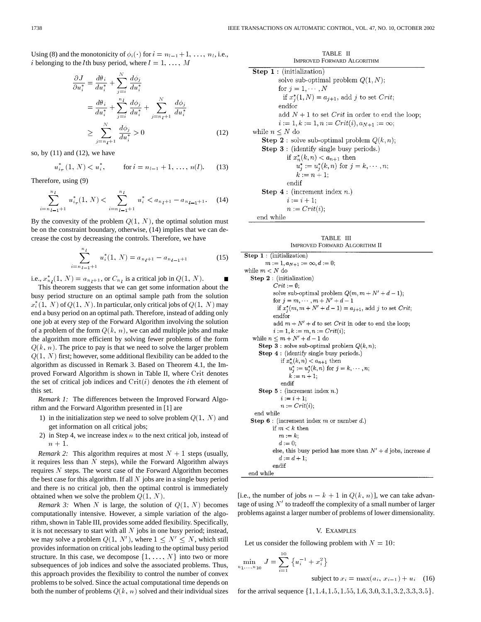Using (8) and the monotonicity of  $\phi_i(\cdot)$  for  $i = n_{l-1} + 1, \ldots, n_l$ , i.e., *i* belonging to the *l*th busy period, where  $l = 1, \ldots, M$ 

$$
\frac{\partial J}{\partial u_i^*} = \frac{d\theta_i}{du_i^*} + \sum_{j=i}^N \frac{d\phi_j}{du_i^*}
$$
  
\n
$$
= \frac{d\theta_i}{du_i^*} + \sum_{j=i}^n \frac{d\phi_j}{du_i^*} + \sum_{j=n_l+1}^N \frac{d\phi_j}{du_i^*}
$$
  
\n
$$
\geq \sum_{j=n_l+1}^N \frac{d\phi_j}{du_i^*} > 0
$$
 (12)

so, by  $(11)$  and  $(12)$ , we have

$$
u_{i_r}^*(1, N) < u_i^*,
$$
 for  $i = n_{l-1} + 1, ..., n(l)$ . (13)

Therefore, using (9)

$$
\sum_{i=n_{l-1}+1}^{n_l} u_{i_r}^*(1, N) < \sum_{i=n_{l-1}+1}^{n_l} u_i^* < a_{n_l+1} - a_{n_{l-1}+1}.\tag{14}
$$

By the convexity of the problem  $Q(1, N)$ , the optimal solution must be on the constraint boundary, otherwise, (14) implies that we can decrease the cost by decreasing the controls. Therefore, we have

$$
\sum_{i=n_{l-1}+1}^{n_l} u_i^*(1, N) = a_{n_l+1} - a_{n_{l-1}+1}
$$
 (15)

i.e.,  $x_{n_l}^*(1, N) = a_{n_l+1}$ , or  $C_{n_l}$  is a critical job in  $Q(1, N)$ .

This theorem suggests that we can get some information about the busy period structure on an optimal sample path from the solution  $x_i^*(1, N)$  of  $Q(1, N)$ . In particular, only critical jobs of  $Q(1, N)$  may end a busy period on an optimal path. Therefore, instead of adding only one job at every step of the Forward Algorithm involving the solution of a problem of the form  $Q(k, n)$ , we can add multiple jobs and make the algorithm more efficient by solving fewer problems of the form  $Q(k, n)$ . The price to pay is that we need to solve the larger problem  $Q(1, N)$  first; however, some additional flexibility can be added to the algorithm as discussed in Remark 3. Based on Theorem 4.1, the Improved Forward Algorithm is shown in Table II, where Crit denotes the set of critical job indices and  $Crit(i)$  denotes the *i*th element of this set.

*Remark 1:* The differences between the Improved Forward Algorithm and the Forward Algorithm presented in [1] are

- 1) in the initialization step we need to solve problem  $Q(1, N)$  and get information on all critical jobs;
- 2) in Step 4, we increase index  $n$  to the next critical job, instead of  $n + 1$ .

*Remark 2:* This algorithm requires at most  $N + 1$  steps (usually, it requires less than  $N$  steps), while the Forward Algorithm always requires  $N$  steps. The worst case of the Forward Algorithm becomes the best case for this algorithm. If all  $N$  jobs are in a single busy period and there is no critical job, then the optimal control is immediately obtained when we solve the problem  $Q(1, N)$ .

*Remark 3:* When  $N$  is large, the solution of  $Q(1, N)$  becomes computationally intensive. However, a simple variation of the algorithm, shown in Table III, provides some added flexibility. Specifically, it is not necessary to start with all  $N$  jobs in one busy period; instead, we may solve a problem  $Q(1, N')$ , where  $1 \le N' \le N$ , which still provides information on critical jobs leading to the optimal busy period structure. In this case, we decompose  $\{1, \ldots, N\}$  into two or more subsequences of job indices and solve the associated problems. Thus, this approach provides the flexibility to control the number of convex problems to be solved. Since the actual computational time depends on both the number of problems  $Q(k, n)$  solved and their individual sizes

TABLE II IMPROVED FORWARD ALGORITHM **Step 1** : (initialization) solve sub-optimal problem  $Q(1, N)$ ; for  $j = 1, \dots, N$ if  $x_i^*(1, N) = a_{i+1}$ , add j to set Crit; endfor add  $N+1$  to set *Crit* in order to end the loop;  $i := 1, k := 1, n := Crit(i), a_{N+1} := \infty;$ while  $n \leq N$  do **Step 2**: solve sub-optimal problem  $Q(k, n)$ ; **Step 3**: (identify single busy periods.) if  $x_n^*(k, n) < a_{n+1}$  then  $u_j^* := u_j^*(k, n)$  for  $j = k, \dots, n;$  $k := n + 1;$ endif **Step 4** : (increment index  $n$ .)  $i := i + 1;$  $n := Crit(i);$ end while

TABLE III IMPROVED FORWARD ALGORITHM II

 $$  $m := 1, a_{N+1} := \infty, d := 0;$ while  $m<{\cal N}$  do Step 2 : (initialization)  $Crit := \emptyset;$ solve sub-optimal problem  $Q(m, m + N' + d - 1)$ ; for  $j = m, \dots, m + N' + d - 1$ if  $x_i^*(m, m + N' + d - 1) = a_{i+1}$ , add j to set Crit; endfor add  $m + N' + d$  to set *Crit* in oder to end the loop;  $i := 1, k := m, n := Crit(i);$ while  $n \leq m + N' + d - 1$  do **Step 3** : solve sub-optimal problem  $Q(k, n)$ ; Step 4 : (identify single busy periods.) if  $x_n^*(k, n) < a_{n+1}$  then  $u_i^* := u_i^*(k, n)$  for  $j = k, \dots, n$ ;  $k := n + 1;$ endif Step  $5:$  (increment index  $n.$ )  $i := i + 1;$  $n := Crit(i);$ end while Step  $6:$  (increment index m or number d.) if  $m < k$  then  $m := k$ ;  $d := 0;$ else, this busy period has more than  $N' + d$  jobs, increase d  $d_{i} = d + 1.$ endif end while

[i.e., the number of jobs  $n - k + 1$  in  $Q(k, n)$ ], we can take advantage of using  $N'$  to tradeoff the complexity of a small number of larger problems against a larger number of problems of lower dimensionality.

# V. EXAMPLES

Let us consider the following problem with  $N = 10$ :

$$
\min_{u_1,\dots,u_{10}} J = \sum_{i=1}^{10} \{u_i^{-1} + x_i^2\}
$$

subject to 
$$
x_i = \max(a_i, x_{i-1}) + u_i
$$
 (16)

for the arrival sequence  $\{1, 1.4, 1.5, 1.55, 1.6, 3.0, 3.1, 3.2, 3.3, 3.5\}.$